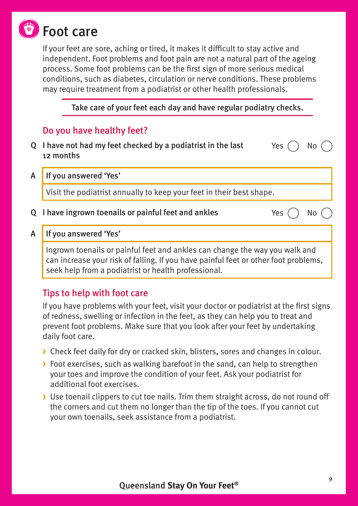

If your feet are sore, aching or tired, it makes it difficult to stay active and independent. Foot problems and foot pain are not a natural part of the ageing process. Some foot problems can be the first sign of more serious medical conditions, such as diabetes, circulation or nerve conditions. These problems may require treatment from a podiatrist or other health professionals.

Take care of your feet each day and have regular podiatry checks.

## Do you have healthy feet?

- Q I have not had my feet checked by a podiatrist in the last 12 months
- A If you answered 'Yes'

Visit the podiatrist annually to keep your feet in their best shape.

### Q I have ingrown toenails or painful feet and ankles  $Yes()$  No (

Yes ( ) No

#### A If you answered 'Yes'

Ingrown toenails or painful feet and ankles can change the way you walk and can increase your risk of falling. If you have painful feet or other foot problems, seek help from a podiatrist or health professional.

## Tips to help with foot care

If you have problems with your feet, visit your doctor or podiatrist at the first signs of redness, swelling or infection in the feet, as they can help you to treat and prevent foot problems. Make sure that you look after your feet by undertaking daily foot care.

- **>** Check feet daily for dry or cracked skin, blisters, sores and changes in colour.
- **>** Foot exercises, such as walking barefoot in the sand, can help to strengthen your toes and improve the condition of your feet. Ask your podiatrist for additional foot exercises.
- **>** Use toenail clippers to cut toe nails. Trim them straight across, do not round off the corners and cut them no longer than the tip of the toes. If you cannot cut your own toenails, seek assistance from a podiatrist.